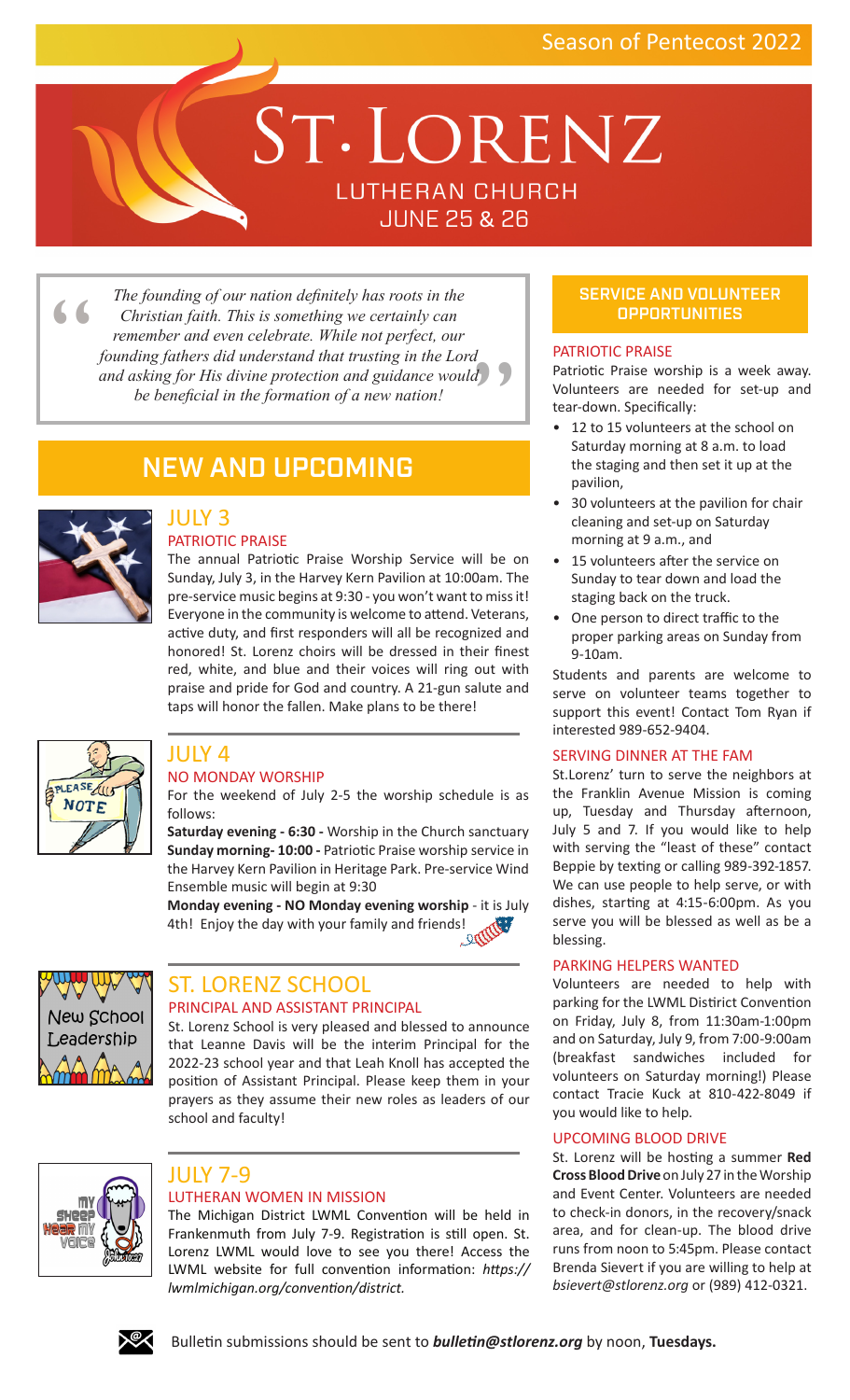# ST. LORENZ **LUTHERAN CHURCH** JUNE 25 & 26

"  $\frac{1}{2}$ *The founding of our nation definitely has roots in the Christian faith. This is something we certainly can remember and even celebrate. While not perfect, our founding fathers did understand that trusting in the Lord and asking for His divine protection and guidance would be beneficial in the formation of a new nation!*

# NEW AND UPCOMING



#### JULY 3 PATRIOTIC PRAISE

The annual Patriotic Praise Worship Service will be on Sunday, July 3, in the Harvey Kern Pavilion at 10:00am. The pre-service music begins at 9:30 - you won't want to miss it! Everyone in the community is welcome to attend. Veterans, active duty, and first responders will all be recognized and honored! St. Lorenz choirs will be dressed in their finest red, white, and blue and their voices will ring out with praise and pride for God and country. A 21-gun salute and taps will honor the fallen. Make plans to be there!



# JULY 4 NO MONDAY WORSHIP

For the weekend of July 2-5 the worship schedule is as follows:

**Saturday evening - 6:30 -** Worship in the Church sanctuary **Sunday morning- 10:00 -** Patriotic Praise worship service in the Harvey Kern Pavilion in Heritage Park. Pre-service Wind Ensemble music will begin at 9:30

**Monday evening - NO Monday evening worship** - it is July 4th! Enjoy the day with your family and friends!



# ST. LORENZ SCHOOL PRINCIPAL AND ASSISTANT PRINCIPAL

St. Lorenz School is very pleased and blessed to announce that Leanne Davis will be the interim Principal for the 2022-23 school year and that Leah Knoll has accepted the position of Assistant Principal. Please keep them in your prayers as they assume their new roles as leaders of our school and faculty!



# JULY 7-9

# LUTHERAN WOMEN IN MISSION

The Michigan District LWML Convention will be held in Frankenmuth from July 7-9. Registration is still open. St. Lorenz LWML would love to see you there! Access the LWML website for full convention information: *[https://](https://lwmlmichigan.org/convention/district) [lwmlmichigan.org/convention/district.](https://lwmlmichigan.org/convention/district)* 

# SERVICE AND VOLUNTEER **OPPORTUNITIES**

# PATRIOTIC PRAISE

Patriotic Praise worship is a week away. Volunteers are needed for set-up and tear-down. Specifically:

- 12 to 15 volunteers at the school on Saturday morning at 8 a.m. to load the staging and then set it up at the pavilion,
- 30 volunteers at the pavilion for chair cleaning and set-up on Saturday morning at 9 a.m., and
- 15 volunteers after the service on Sunday to tear down and load the staging back on the truck.
- One person to direct traffic to the proper parking areas on Sunday from 9-10am.

Students and parents are welcome to serve on volunteer teams together to support this event! Contact Tom Ryan if interested 989-652-9404.

# SERVING DINNER AT THE FAM

St.Lorenz' turn to serve the neighbors at the Franklin Avenue Mission is coming up, Tuesday and Thursday afternoon, July 5 and 7. If you would like to help with serving the "least of these" contact Beppie by texting or calling 989-392-1857. We can use people to help serve, or with dishes, starting at 4:15-6:00pm. As you serve you will be blessed as well as be a blessing.

#### PARKING HELPERS WANTED

Volunteers are needed to help with parking for the LWML Distirict Convention on Friday, July 8, from 11:30am-1:00pm and on Saturday, July 9, from 7:00-9:00am (breakfast sandwiches included for volunteers on Saturday morning!) Please contact Tracie Kuck at 810-422-8049 if you would like to help.

# UPCOMING BLOOD DRIVE

St. Lorenz will be hosting a summer **Red Cross Blood Drive** on July 27 in the Worship and Event Center. Volunteers are needed to check-in donors, in the recovery/snack area, and for clean-up. The blood drive runs from noon to 5:45pm. Please contact Brenda Sievert if you are willing to help at *[bsievert@stlorenz.org](mailto:bsievert%40stlorenz.org?subject=July%20Blood%20Drive)* or (989) 412-0321.